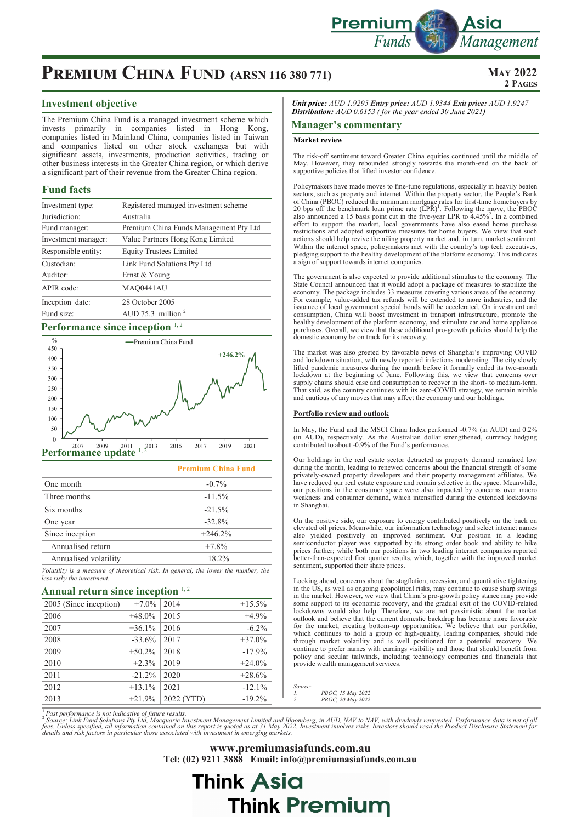#### Asia **Premium Funds** Management

### **PREMIUM CHINA FUND** (ARSN 116 380 771) MAY 2022

# **2 Pages**

#### **Investment objective**

The Premium China Fund is a managed investment scheme which invests primarily in companies listed in Hong Kong, companies listed in Mainland China, companies listed in Taiwan and companies listed on other stock exchanges but with significant assets, investments, production activities, trading or other business interests in the Greater China region, or which derive a significant part of their revenue from the Greater China region.

#### **Fund facts**

| Investment type:    | Registered managed investment scheme   |  |
|---------------------|----------------------------------------|--|
| Jurisdiction:       | Australia                              |  |
| Fund manager:       | Premium China Funds Management Pty Ltd |  |
| Investment manager: | Value Partners Hong Kong Limited       |  |
| Responsible entity: | <b>Equity Trustees Limited</b>         |  |
| Custodian:          | Link Fund Solutions Pty Ltd            |  |
| Auditor:            | Ernst & Young                          |  |
| APIR code:          | <b>MAQ0441AU</b>                       |  |
| Inception date:     | 28 October 2005                        |  |
| Fund size:          | AUD 75.3 million $2$                   |  |
|                     |                                        |  |

### Performance since inception <sup>1, 2</sup>



|                       | <b>Premium China Fund</b> |
|-----------------------|---------------------------|
| One month             | $-0.7\%$                  |
| Three months          | $-11.5%$                  |
| Six months            | $-21.5%$                  |
| One year              | $-32.8%$                  |
| Since inception       | $+246.2%$                 |
| Annualised return     | $+7.8%$                   |
| Annualised volatility | 18.2%                     |
|                       |                           |

*Volatility is a measure of theoretical risk. In general, the lower the number, the less risky the investment.* 

| Annual return since inception $1,2$ |  |  |  |
|-------------------------------------|--|--|--|
|                                     |  |  |  |

| 2005 (Since inception) | $+7.0%$   | 2014       | $+15.5%$  |
|------------------------|-----------|------------|-----------|
| 2006                   | $+48.0\%$ | 2015       | $+4.9%$   |
| 2007                   | $+36.1%$  | 2016       | $-6.2\%$  |
| 2008                   | $-33.6%$  | 2017       | $+37.0%$  |
| 2009                   | $+50.2\%$ | 2018       | $-17.9%$  |
| 2010                   | $+2.3%$   | 2019       | $+24.0%$  |
| 2011                   | $-21.2\%$ | 2020       | $+28.6%$  |
| 2012                   | $+13.1%$  | 2021       | $-12.1%$  |
| 2013                   | $+21.9%$  | 2022 (YTD) | $-19.2\%$ |

*Unit price: AUD 1.9295 Entry price: AUD 1.9344 Exit price: AUD 1.9247 Distribution: AUD 0.6153 ( for the year ended 30 June 2021)*

#### **Manager's commentary**

#### **Market review**

The risk-off sentiment toward Greater China equities continued until the middle of May. However, they rebounded strongly towards the month-end on the back of supportive policies that lifted investor confidence.

Policymakers have made moves to fine-tune regulations, especially in heavily beaten sectors, such as property and internet. Within the property sector, the People's Bank of China (PBOC) reduced the minimum mortgage rates for first-time homebuyers by 20 bps off the benchmark loan prime rate (LPR)<sup>1</sup>. Following the move, the PBOC also announced a 15 basis point cut in the five-year LPR to 4. effort to support the market, local governments have also eased home purchase restrictions and adopted supportive measures for home buyers. We view that such<br>actions should help revive the ailing property market and, in turn, market sentiment.<br>Within the internet space, policymakers met with the cou pledging support to the healthy development of the platform economy. This indicates a sign of support towards internet companies.

The government is also expected to provide additional stimulus to the economy. The State Council announced that it would adopt a package of measures to stabilize the economy. The package includes 33 measures covering various areas of the economy. For example, value-added tax refunds will be extended to more industries, and the issuance of local government special bonds will be accelerated. On investment and consumption, China will boost investment in transport infrastructure, promote the healthy development of the platform economy, and stimulate car and home appliance purchases. Overall, we view that these additional pro-growth policies should help the domestic economy be on track for its recovery.

The market was also greeted by favorable news of Shanghai's improving COVID<br>and lockdown situation, with newly reported infections moderating. The city slowly<br>lifted pandemic measures during the month before it formally en lockdown at the beginning of June. Following this, we view that concerns over supply chains should ease and consumption to recover in the short- to medium-term. That said, as the country continues with its zero-COVID strategy, we remain nimble and cautious of any moves that may affect the economy and our holdings.

#### **Portfolio review and outlook**

In May, the Fund and the MSCI China Index performed -0.7% (in AUD) and 0.2% (in AUD), respectively. As the Australian dollar strengthened, currency hedging contributed to about -0.9% of the Fund's performance.

Our holdings in the real estate sector detracted as property demand remained low during the month, leading to renewed concerns about the financial strength of some privately-owned property developers and their property management affiliates. We have reduced our real estate exposure and remain selective in the space. Meanwhile, our positions in the consumer space were also impacted by concerns over macro weakness and consumer demand, which intensified during the extended lockdowns in Shanghai.

On the positive side, our exposure to energy contributed positively on the back on elevated oil prices. Meanwhile, our information technology and select internet names also yielded positively on improved sentiment. Our position in a leading semiconductor player was supported by its strong order book and ability to hike prices further; while both our positions in two leading internet companies reported better-than-expected first quarter results, which, together with the improved market sentiment, supported their share prices.

Looking ahead, concerns about the stagflation, recession, and quantitative tightening in the US, as well as ongoing geopolitical risks, may continue to cause sharp swings in the market. However, we view that China's pro-growth policy stance may provide some support to its economic recovery, and the gradual exit of the COVID-related lockdowns would also help. Therefore, we are not pessimistic about the market outlook and believe that the current domestic backdrop has become more favorable for the market, creating bottom-up opportunities. We believe that our portfolio, which continues to hold a group of high-quality, leading companies, should ride through market volatility and is well positioned for a potent continue to prefer names with earnings visibility and those that should benefit from policy and secular tailwinds, including technology companies and financials that provide wealth management services.

| Source: |                   |
|---------|-------------------|
|         | PBOC, 15 May 2022 |
|         | PBOC, 20 May 2022 |

<sup>1</sup> Past performance is not indicative of future results.<br><sup>2</sup> Source: Link Fund Solutions Pty Ltd, Macquarie Investment Management Limited and Bloomberg, in AUD, NAV to NAV, with dividends reinvested. Performance data is n

**www.premiumasiafunds.com.au**

**Tel: (02) 9211 3888 Email: info@premiumasiafunds.com.au**

## **Think Asia Think Premium**